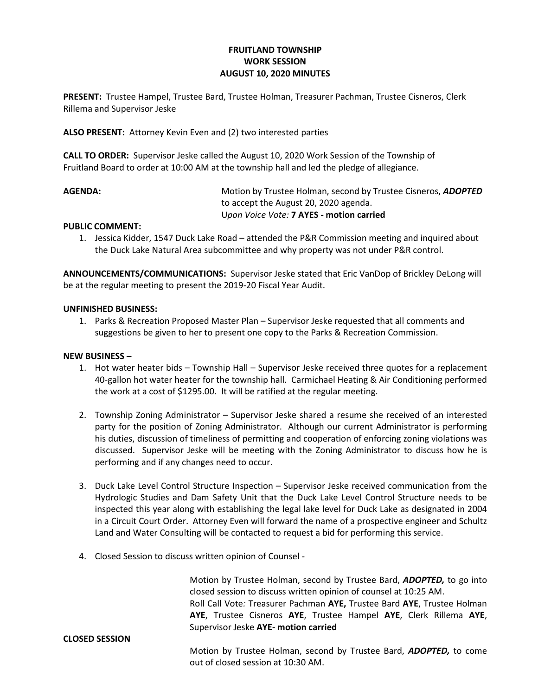# FRUITLAND TOWNSHIP WORK SESSION AUGUST 10, 2020 MINUTES

PRESENT: Trustee Hampel, Trustee Bard, Trustee Holman, Treasurer Pachman, Trustee Cisneros, Clerk Rillema and Supervisor Jeske

ALSO PRESENT: Attorney Kevin Even and (2) two interested parties

CALL TO ORDER: Supervisor Jeske called the August 10, 2020 Work Session of the Township of Fruitland Board to order at 10:00 AM at the township hall and led the pledge of allegiance.

AGENDA: Motion by Trustee Holman, second by Trustee Cisneros, ADOPTED to accept the August 20, 2020 agenda. Upon Voice Vote: 7 AYES - motion carried

### PUBLIC COMMENT:

1. Jessica Kidder, 1547 Duck Lake Road – attended the P&R Commission meeting and inquired about the Duck Lake Natural Area subcommittee and why property was not under P&R control.

ANNOUNCEMENTS/COMMUNICATIONS: Supervisor Jeske stated that Eric VanDop of Brickley DeLong will be at the regular meeting to present the 2019-20 Fiscal Year Audit.

### UNFINISHED BUSINESS:

1. Parks & Recreation Proposed Master Plan – Supervisor Jeske requested that all comments and suggestions be given to her to present one copy to the Parks & Recreation Commission.

#### NEW BUSINESS –

CLOSED SESSION

- 1. Hot water heater bids Township Hall Supervisor Jeske received three quotes for a replacement 40-gallon hot water heater for the township hall. Carmichael Heating & Air Conditioning performed the work at a cost of \$1295.00. It will be ratified at the regular meeting.
- 2. Township Zoning Administrator Supervisor Jeske shared a resume she received of an interested party for the position of Zoning Administrator. Although our current Administrator is performing his duties, discussion of timeliness of permitting and cooperation of enforcing zoning violations was discussed. Supervisor Jeske will be meeting with the Zoning Administrator to discuss how he is performing and if any changes need to occur.
- 3. Duck Lake Level Control Structure Inspection Supervisor Jeske received communication from the Hydrologic Studies and Dam Safety Unit that the Duck Lake Level Control Structure needs to be inspected this year along with establishing the legal lake level for Duck Lake as designated in 2004 in a Circuit Court Order. Attorney Even will forward the name of a prospective engineer and Schultz Land and Water Consulting will be contacted to request a bid for performing this service.
- 4. Closed Session to discuss written opinion of Counsel -

Motion by Trustee Holman, second by Trustee Bard, ADOPTED, to go into closed session to discuss written opinion of counsel at 10:25 AM. Roll Call Vote: Treasurer Pachman AYE, Trustee Bard AYE, Trustee Holman AYE, Trustee Cisneros AYE, Trustee Hampel AYE, Clerk Rillema AYE, Supervisor Jeske AYE- motion carried

Motion by Trustee Holman, second by Trustee Bard, ADOPTED, to come out of closed session at 10:30 AM.